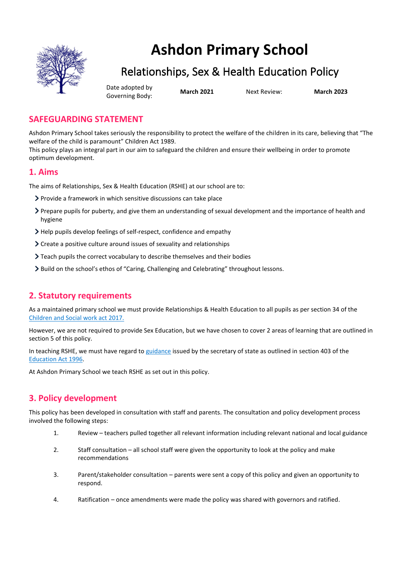

# **Ashdon Primary School**

## Relationships, Sex & Health Education Policy

Date adopted by Governing Body: **March <sup>2021</sup>** Next Review: **March <sup>2023</sup>**

## **SAFEGUARDING STATEMENT**

Ashdon Primary School takes seriously the responsibility to protect the welfare of the children in its care, believing that "The welfare of the child is paramount" Children Act 1989.

This policy plays an integral part in our aim to safeguard the children and ensure their wellbeing in order to promote optimum development.

#### **1. Aims**

The aims of Relationships, Sex & Health Education (RSHE) at our school are to:

- Provide a framework in which sensitive discussions can take place
- Prepare pupils for puberty, and give them an understanding of sexual development and the importance of health and hygiene
- Help pupils develop feelings of self-respect, confidence and empathy
- Create a positive culture around issues of sexuality and relationships
- Teach pupils the correct vocabulary to describe themselves and their bodies
- > Build on the school's ethos of "Caring, Challenging and Celebrating" throughout lessons.

## **2. Statutory requirements**

As a maintained primary school we must provide Relationships & Health Education to all pupils as per section 34 of the Children [and Social work act 2017.](http://www.legislation.gov.uk/ukpga/2017/16/section/34/enacted)

However, we are not required to provide Sex Education, but we have chosen to cover 2 areas of learning that are outlined in section 5 of this policy.

In teaching RSHE, we must have regard t[o guidance](https://www.gov.uk/government/consultations/relationships-and-sex-education-and-health-education) issued by the secretary of state as outlined in section 403 of the [Education Act 1996.](http://www.legislation.gov.uk/ukpga/1996/56/contents)

At Ashdon Primary School we teach RSHE as set out in this policy.

## **3. Policy development**

This policy has been developed in consultation with staff and parents. The consultation and policy development process involved the following steps:

- 1. Review teachers pulled together all relevant information including relevant national and local guidance
- 2. Staff consultation all school staff were given the opportunity to look at the policy and make recommendations
- 3. Parent/stakeholder consultation parents were sent a copy of this policy and given an opportunity to respond.
- 4. Ratification once amendments were made the policy was shared with governors and ratified.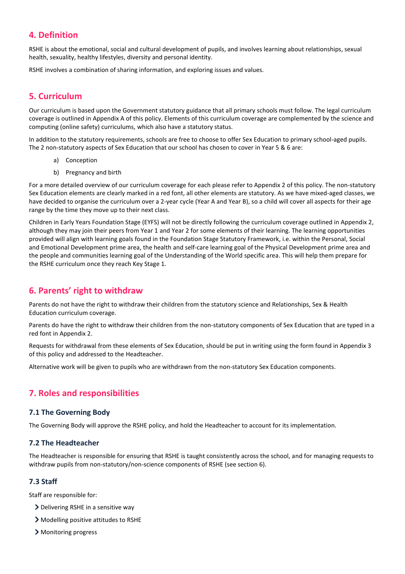## **4. Definition**

RSHE is about the emotional, social and cultural development of pupils, and involves learning about relationships, sexual health, sexuality, healthy lifestyles, diversity and personal identity.

RSHE involves a combination of sharing information, and exploring issues and values.

## **5. Curriculum**

Our curriculum is based upon the Government statutory guidance that all primary schools must follow. The legal curriculum coverage is outlined in Appendix A of this policy. Elements of this curriculum coverage are complemented by the science and computing (online safety) curriculums, which also have a statutory status.

In addition to the statutory requirements, schools are free to choose to offer Sex Education to primary school-aged pupils. The 2 non-statutory aspects of Sex Education that our school has chosen to cover in Year 5 & 6 are:

- a) Conception
- b) Pregnancy and birth

For a more detailed overview of our curriculum coverage for each please refer to Appendix 2 of this policy. The non-statutory Sex Education elements are clearly marked in a red font, all other elements are statutory. As we have mixed-aged classes, we have decided to organise the curriculum over a 2-year cycle (Year A and Year B), so a child will cover all aspects for their age range by the time they move up to their next class.

Children in Early Years Foundation Stage (EYFS) will not be directly following the curriculum coverage outlined in Appendix 2, although they may join their peers from Year 1 and Year 2 for some elements of their learning. The learning opportunities provided will align with learning goals found in the Foundation Stage Statutory Framework, i.e. within the Personal, Social and Emotional Development prime area, the health and self-care learning goal of the Physical Development prime area and the people and communities learning goal of the Understanding of the World specific area. This will help them prepare for the RSHE curriculum once they reach Key Stage 1.

## **6. Parents' right to withdraw**

Parents do not have the right to withdraw their children from the statutory science and Relationships, Sex & Health Education curriculum coverage.

Parents do have the right to withdraw their children from the non-statutory components of Sex Education that are typed in a red font in Appendix 2.

Requests for withdrawal from these elements of Sex Education, should be put in writing using the form found in Appendix 3 of this policy and addressed to the Headteacher.

Alternative work will be given to pupils who are withdrawn from the non-statutory Sex Education components.

## **7. Roles and responsibilities**

#### **7.1 The Governing Body**

The Governing Body will approve the RSHE policy, and hold the Headteacher to account for its implementation.

#### **7.2 The Headteacher**

The Headteacher is responsible for ensuring that RSHE is taught consistently across the school, and for managing requests to withdraw pupils from non-statutory/non-science components of RSHE (see section 6).

#### **7.3 Staff**

Staff are responsible for:

- Delivering RSHE in a sensitive way
- Modelling positive attitudes to RSHE
- > Monitoring progress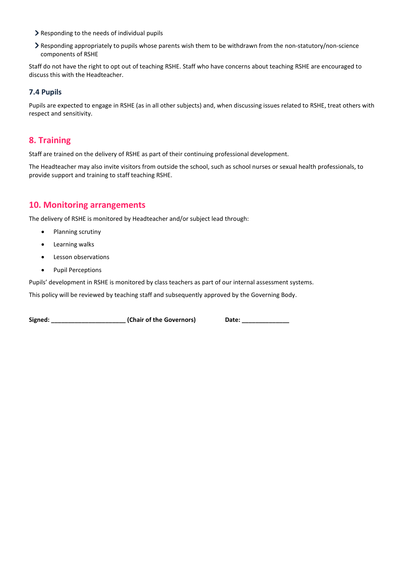- > Responding to the needs of individual pupils
- Responding appropriately to pupils whose parents wish them to be withdrawn from the non-statutory/non-science components of RSHE

Staff do not have the right to opt out of teaching RSHE. Staff who have concerns about teaching RSHE are encouraged to discuss this with the Headteacher.

#### **7.4 Pupils**

Pupils are expected to engage in RSHE (as in all other subjects) and, when discussing issues related to RSHE, treat others with respect and sensitivity.

### **8. Training**

Staff are trained on the delivery of RSHE as part of their continuing professional development.

The Headteacher may also invite visitors from outside the school, such as school nurses or sexual health professionals, to provide support and training to staff teaching RSHE.

## **10. Monitoring arrangements**

The delivery of RSHE is monitored by Headteacher and/or subject lead through:

- Planning scrutiny
- Learning walks
- Lesson observations
- Pupil Perceptions

Pupils' development in RSHE is monitored by class teachers as part of our internal assessment systems.

This policy will be reviewed by teaching staff and subsequently approved by the Governing Body.

**Signed: \_\_\_\_\_\_\_\_\_\_\_\_\_\_\_\_\_\_\_\_\_\_ (Chair of the Governors) Date: \_\_\_\_\_\_\_\_\_\_\_\_\_\_**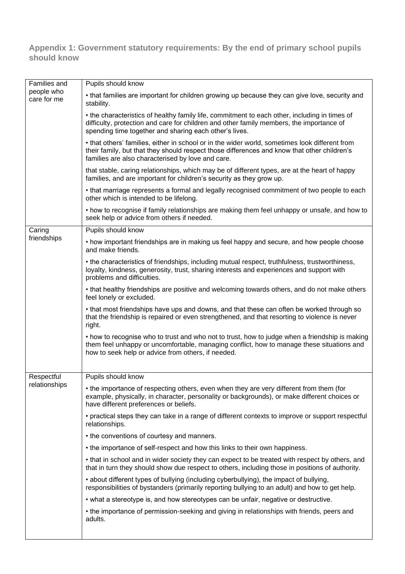**Appendix 1: Government statutory requirements: By the end of primary school pupils should know**

| Families and              | Pupils should know                                                                                                                                                                                                                                  |
|---------------------------|-----------------------------------------------------------------------------------------------------------------------------------------------------------------------------------------------------------------------------------------------------|
| people who<br>care for me | • that families are important for children growing up because they can give love, security and<br>stability.                                                                                                                                        |
|                           | • the characteristics of healthy family life, commitment to each other, including in times of<br>difficulty, protection and care for children and other family members, the importance of<br>spending time together and sharing each other's lives. |
|                           | • that others' families, either in school or in the wider world, sometimes look different from<br>their family, but that they should respect those differences and know that other children's<br>families are also characterised by love and care.  |
|                           | that stable, caring relationships, which may be of different types, are at the heart of happy<br>families, and are important for children's security as they grow up.                                                                               |
|                           | • that marriage represents a formal and legally recognised commitment of two people to each<br>other which is intended to be lifelong.                                                                                                              |
|                           | • how to recognise if family relationships are making them feel unhappy or unsafe, and how to<br>seek help or advice from others if needed.                                                                                                         |
| Caring                    | Pupils should know                                                                                                                                                                                                                                  |
| friendships               | • how important friendships are in making us feel happy and secure, and how people choose<br>and make friends.                                                                                                                                      |
|                           | • the characteristics of friendships, including mutual respect, truthfulness, trustworthiness,<br>loyalty, kindness, generosity, trust, sharing interests and experiences and support with<br>problems and difficulties.                            |
|                           | • that healthy friendships are positive and welcoming towards others, and do not make others<br>feel lonely or excluded.                                                                                                                            |
|                           | • that most friendships have ups and downs, and that these can often be worked through so<br>that the friendship is repaired or even strengthened, and that resorting to violence is never<br>right.                                                |
|                           | • how to recognise who to trust and who not to trust, how to judge when a friendship is making<br>them feel unhappy or uncomfortable, managing conflict, how to manage these situations and<br>how to seek help or advice from others, if needed.   |
| Respectful                | Pupils should know                                                                                                                                                                                                                                  |
| relationships             |                                                                                                                                                                                                                                                     |
|                           | • the importance of respecting others, even when they are very different from them (for<br>example, physically, in character, personality or backgrounds), or make different choices or<br>have different preferences or beliefs.                   |
|                           | • practical steps they can take in a range of different contexts to improve or support respectful<br>relationships.                                                                                                                                 |
|                           | • the conventions of courtesy and manners.                                                                                                                                                                                                          |
|                           | • the importance of self-respect and how this links to their own happiness.                                                                                                                                                                         |
|                           | • that in school and in wider society they can expect to be treated with respect by others, and<br>that in turn they should show due respect to others, including those in positions of authority.                                                  |
|                           | • about different types of bullying (including cyberbullying), the impact of bullying,<br>responsibilities of bystanders (primarily reporting bullying to an adult) and how to get help.                                                            |
|                           | • what a stereotype is, and how stereotypes can be unfair, negative or destructive.                                                                                                                                                                 |
|                           | • the importance of permission-seeking and giving in relationships with friends, peers and<br>adults.                                                                                                                                               |
|                           |                                                                                                                                                                                                                                                     |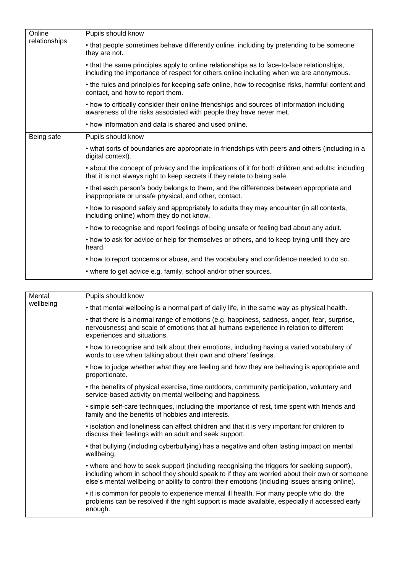| Online<br>relationships | Pupils should know                                                                                                                                                                   |
|-------------------------|--------------------------------------------------------------------------------------------------------------------------------------------------------------------------------------|
|                         | • that people sometimes behave differently online, including by pretending to be someone<br>they are not.                                                                            |
|                         | • that the same principles apply to online relationships as to face-to-face relationships,<br>including the importance of respect for others online including when we are anonymous. |
|                         | • the rules and principles for keeping safe online, how to recognise risks, harmful content and<br>contact, and how to report them.                                                  |
|                         | • how to critically consider their online friendships and sources of information including<br>awareness of the risks associated with people they have never met.                     |
|                         | • how information and data is shared and used online.                                                                                                                                |
| Being safe              | Pupils should know                                                                                                                                                                   |
|                         | • what sorts of boundaries are appropriate in friendships with peers and others (including in a<br>digital context).                                                                 |
|                         | • about the concept of privacy and the implications of it for both children and adults; including<br>that it is not always right to keep secrets if they relate to being safe.       |
|                         | • that each person's body belongs to them, and the differences between appropriate and<br>inappropriate or unsafe physical, and other, contact.                                      |
|                         | • how to respond safely and appropriately to adults they may encounter (in all contexts,<br>including online) whom they do not know.                                                 |
|                         | • how to recognise and report feelings of being unsafe or feeling bad about any adult.                                                                                               |
|                         | • how to ask for advice or help for themselves or others, and to keep trying until they are<br>heard.                                                                                |
|                         | • how to report concerns or abuse, and the vocabulary and confidence needed to do so.                                                                                                |
|                         | • where to get advice e.g. family, school and/or other sources.                                                                                                                      |

| Mental<br>wellbeing | Pupils should know                                                                                                                                                                                                                                                                           |
|---------------------|----------------------------------------------------------------------------------------------------------------------------------------------------------------------------------------------------------------------------------------------------------------------------------------------|
|                     | • that mental wellbeing is a normal part of daily life, in the same way as physical health.                                                                                                                                                                                                  |
|                     | • that there is a normal range of emotions (e.g. happiness, sadness, anger, fear, surprise,<br>nervousness) and scale of emotions that all humans experience in relation to different<br>experiences and situations.                                                                         |
|                     | • how to recognise and talk about their emotions, including having a varied vocabulary of<br>words to use when talking about their own and others' feelings.                                                                                                                                 |
|                     | • how to judge whether what they are feeling and how they are behaving is appropriate and<br>proportionate.                                                                                                                                                                                  |
|                     | • the benefits of physical exercise, time outdoors, community participation, voluntary and<br>service-based activity on mental wellbeing and happiness.                                                                                                                                      |
|                     | • simple self-care techniques, including the importance of rest, time spent with friends and<br>family and the benefits of hobbies and interests.                                                                                                                                            |
|                     | . isolation and loneliness can affect children and that it is very important for children to<br>discuss their feelings with an adult and seek support.                                                                                                                                       |
|                     | • that bullying (including cyberbullying) has a negative and often lasting impact on mental<br>wellbeing.                                                                                                                                                                                    |
|                     | • where and how to seek support (including recognising the triggers for seeking support),<br>including whom in school they should speak to if they are worried about their own or someone<br>else's mental wellbeing or ability to control their emotions (including issues arising online). |
|                     | • it is common for people to experience mental ill health. For many people who do, the<br>problems can be resolved if the right support is made available, especially if accessed early<br>enough.                                                                                           |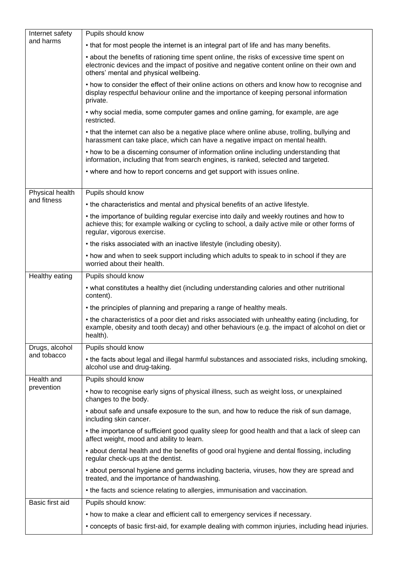| Internet safety | Pupils should know                                                                                                                                                                                                                |
|-----------------|-----------------------------------------------------------------------------------------------------------------------------------------------------------------------------------------------------------------------------------|
| and harms       | • that for most people the internet is an integral part of life and has many benefits.                                                                                                                                            |
|                 | • about the benefits of rationing time spent online, the risks of excessive time spent on<br>electronic devices and the impact of positive and negative content online on their own and<br>others' mental and physical wellbeing. |
|                 | • how to consider the effect of their online actions on others and know how to recognise and<br>display respectful behaviour online and the importance of keeping personal information<br>private.                                |
|                 | • why social media, some computer games and online gaming, for example, are age<br>restricted.                                                                                                                                    |
|                 | • that the internet can also be a negative place where online abuse, trolling, bullying and<br>harassment can take place, which can have a negative impact on mental health.                                                      |
|                 | • how to be a discerning consumer of information online including understanding that<br>information, including that from search engines, is ranked, selected and targeted.                                                        |
|                 | • where and how to report concerns and get support with issues online.                                                                                                                                                            |
| Physical health | Pupils should know                                                                                                                                                                                                                |
| and fitness     | • the characteristics and mental and physical benefits of an active lifestyle.                                                                                                                                                    |
|                 | • the importance of building regular exercise into daily and weekly routines and how to<br>achieve this; for example walking or cycling to school, a daily active mile or other forms of<br>regular, vigorous exercise.           |
|                 | • the risks associated with an inactive lifestyle (including obesity).                                                                                                                                                            |
|                 | • how and when to seek support including which adults to speak to in school if they are<br>worried about their health.                                                                                                            |
| Healthy eating  | Pupils should know                                                                                                                                                                                                                |
|                 | • what constitutes a healthy diet (including understanding calories and other nutritional<br>content).                                                                                                                            |
|                 | • the principles of planning and preparing a range of healthy meals.                                                                                                                                                              |
|                 | • the characteristics of a poor diet and risks associated with unhealthy eating (including, for<br>example, obesity and tooth decay) and other behaviours (e.g. the impact of alcohol on diet or<br>health).                      |
| Drugs, alcohol  | Pupils should know                                                                                                                                                                                                                |
| and tobacco     | • the facts about legal and illegal harmful substances and associated risks, including smoking,<br>alcohol use and drug-taking.                                                                                                   |
| Health and      | Pupils should know                                                                                                                                                                                                                |
| prevention      | • how to recognise early signs of physical illness, such as weight loss, or unexplained<br>changes to the body.                                                                                                                   |
|                 | • about safe and unsafe exposure to the sun, and how to reduce the risk of sun damage,<br>including skin cancer.                                                                                                                  |
|                 | • the importance of sufficient good quality sleep for good health and that a lack of sleep can<br>affect weight, mood and ability to learn.                                                                                       |
|                 | • about dental health and the benefits of good oral hygiene and dental flossing, including<br>regular check-ups at the dentist.                                                                                                   |
|                 | • about personal hygiene and germs including bacteria, viruses, how they are spread and<br>treated, and the importance of handwashing.                                                                                            |
|                 | • the facts and science relating to allergies, immunisation and vaccination.                                                                                                                                                      |
| Basic first aid | Pupils should know:                                                                                                                                                                                                               |
|                 | • how to make a clear and efficient call to emergency services if necessary.                                                                                                                                                      |
|                 | • concepts of basic first-aid, for example dealing with common injuries, including head injuries.                                                                                                                                 |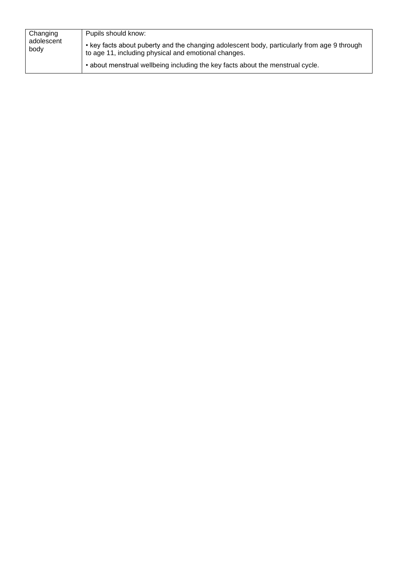| Changing<br>adolescent<br>body | Pupils should know:                                                                                                                                 |
|--------------------------------|-----------------------------------------------------------------------------------------------------------------------------------------------------|
|                                | • key facts about puberty and the changing adolescent body, particularly from age 9 through<br>to age 11, including physical and emotional changes. |
|                                | • about menstrual wellbeing including the key facts about the menstrual cycle.                                                                      |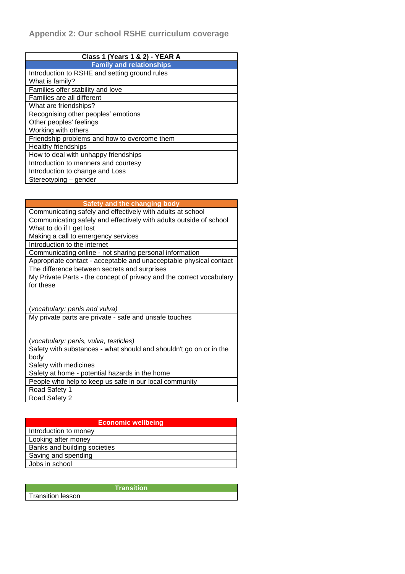| Class 1 (Years 1 & 2) - YEAR A                |
|-----------------------------------------------|
| <b>Family and relationships</b>               |
| Introduction to RSHE and setting ground rules |
| What is family?                               |
| Families offer stability and love             |
| Families are all different                    |
| What are friendships?                         |
| Recognising other peoples' emotions           |
| Other peoples' feelings                       |
| Working with others                           |
| Friendship problems and how to overcome them  |
| <b>Healthy friendships</b>                    |
| How to deal with unhappy friendships          |
| Introduction to manners and courtesy          |
| Introduction to change and Loss               |
| Stereotyping – gender                         |

## **Safety and the changing body**

| Communicating safely and effectively with adults at school                 |
|----------------------------------------------------------------------------|
| Communicating safely and effectively with adults outside of school         |
| What to do if I get lost                                                   |
| Making a call to emergency services                                        |
| Introduction to the internet                                               |
| Communicating online - not sharing personal information                    |
| Appropriate contact - acceptable and unacceptable physical contact         |
| The difference between secrets and surprises                               |
| My Private Parts - the concept of privacy and the correct vocabulary       |
| for these                                                                  |
| (vocabulary: penis and vulva)                                              |
| My private parts are private - safe and unsafe touches                     |
| (vocabulary: penis, vulva, testicles)                                      |
| Safety with substances - what should and shouldn't go on or in the<br>body |
| Safety with medicines                                                      |
| Safety at home - potential hazards in the home                             |
| People who help to keep us safe in our local community                     |
| Road Safety 1                                                              |
| Road Safety 2                                                              |

| <b>Economic wellbeing</b>    |
|------------------------------|
| Introduction to money        |
| Looking after money          |
| Banks and building societies |
| Saving and spending          |
| Jobs in school               |

**Transition**

Transition lesson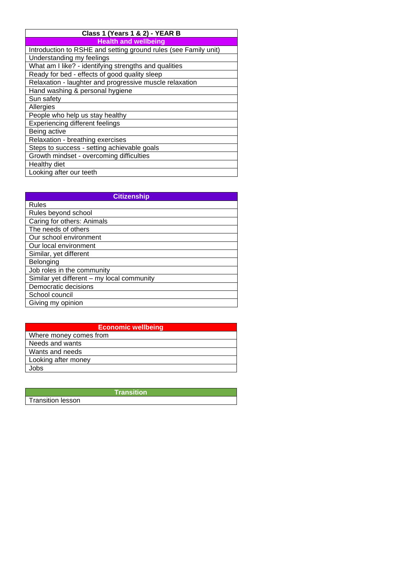## **Class 1 (Years 1 & 2) - YEAR B**

| <b>Health and wellbeing</b>                                     |
|-----------------------------------------------------------------|
| Introduction to RSHE and setting ground rules (see Family unit) |
| Understanding my feelings                                       |
| What am I like? - identifying strengths and qualities           |
| Ready for bed - effects of good quality sleep                   |
| Relaxation - laughter and progressive muscle relaxation         |
| Hand washing & personal hygiene                                 |
| Sun safety                                                      |
| Allergies                                                       |
| People who help us stay healthy                                 |
| Experiencing different feelings                                 |
| Being active                                                    |
| Relaxation - breathing exercises                                |
| Steps to success - setting achievable goals                     |
| Growth mindset - overcoming difficulties                        |
| Healthy diet                                                    |
| Looking after our teeth                                         |

| <b>Citizenship</b>                         |
|--------------------------------------------|
| Rules                                      |
| Rules beyond school                        |
| Caring for others: Animals                 |
| The needs of others                        |
| Our school environment                     |
| Our local environment                      |
| Similar, yet different                     |
| <b>Belonging</b>                           |
| Job roles in the community                 |
| Similar yet different - my local community |
| Democratic decisions                       |
| School council                             |
| Giving my opinion                          |

| <b>Economic wellbeing</b> |
|---------------------------|
| Where money comes from    |
| Needs and wants           |
| Wants and needs           |
| Looking after money       |
| Jobs                      |

Transition lesson

**Transition**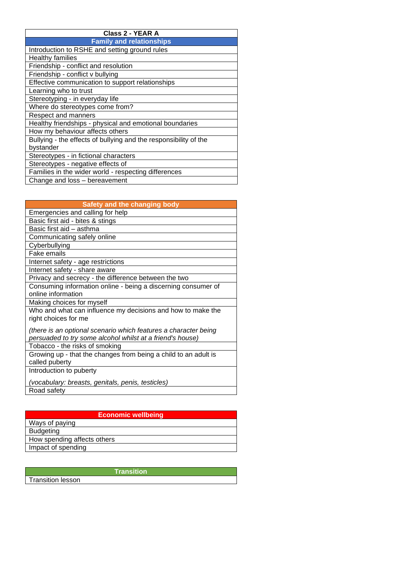| Class 2 - YEAR A                                                 |
|------------------------------------------------------------------|
| <b>Family and relationships</b>                                  |
| Introduction to RSHE and setting ground rules                    |
| Healthy families                                                 |
| Friendship - conflict and resolution                             |
| Friendship - conflict v bullying                                 |
| Effective communication to support relationships                 |
| Learning who to trust                                            |
| Stereotyping - in everyday life                                  |
| Where do stereotypes come from?                                  |
| Respect and manners                                              |
| Healthy friendships - physical and emotional boundaries          |
| How my behaviour affects others                                  |
| Bullying - the effects of bullying and the responsibility of the |
| bystander                                                        |
| Stereotypes - in fictional characters                            |
| Stereotypes - negative effects of                                |
| Families in the wider world - respecting differences             |
| Change and loss - bereavement                                    |

| Safety and the changing body                                    |
|-----------------------------------------------------------------|
| Emergencies and calling for help                                |
| Basic first aid - bites & stings                                |
| Basic first aid - asthma                                        |
| Communicating safely online                                     |
| Cyberbullying                                                   |
| Fake emails                                                     |
| Internet safety - age restrictions                              |
| Internet safety - share aware                                   |
| Privacy and secrecy - the difference between the two            |
| Consuming information online - being a discerning consumer of   |
| online information                                              |
| Making choices for myself                                       |
| Who and what can influence my decisions and how to make the     |
| right choices for me                                            |
| (there is an optional scenario which features a character being |
| persuaded to try some alcohol whilst at a friend's house)       |
| Tobacco - the risks of smoking                                  |
| Growing up - that the changes from being a child to an adult is |
| called puberty                                                  |
| Introduction to puberty                                         |
| (vocabulary: breasts, genitals, penis, testicles)               |
| Road safety                                                     |
|                                                                 |

| <b>Economic wellbeing</b>   |
|-----------------------------|
| Ways of paying              |
| <b>Budgeting</b>            |
| How spending affects others |
| Impact of spending          |

**Transition**

Transition lesson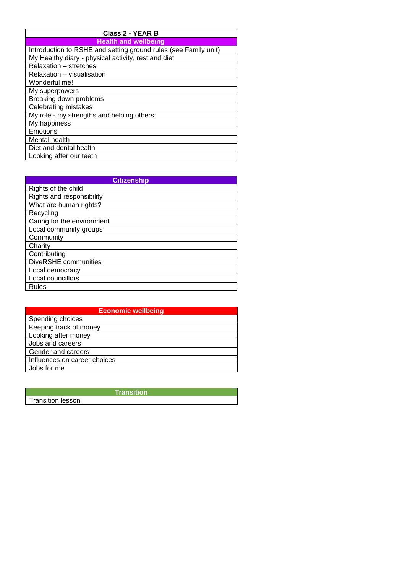## **Class 2 - YEAR B**

| <b>Health and wellbeing</b>                                     |
|-----------------------------------------------------------------|
| Introduction to RSHE and setting ground rules (see Family unit) |
| My Healthy diary - physical activity, rest and diet             |
| Relaxation - stretches                                          |
| Relaxation - visualisation                                      |
| Wonderful me!                                                   |
| My superpowers                                                  |
| Breaking down problems                                          |
| Celebrating mistakes                                            |
| My role - my strengths and helping others                       |
| My happiness                                                    |
| Emotions                                                        |
| Mental health                                                   |
| Diet and dental health                                          |
| Looking after our teeth                                         |

| <b>Citizenship</b>         |
|----------------------------|
| Rights of the child        |
| Rights and responsibility  |
| What are human rights?     |
| Recycling                  |
| Caring for the environment |
| Local community groups     |
| Community                  |
| Charity                    |
| Contributing               |
| DiveRSHE communities       |
| Local democracy            |
| Local councillors          |
| Rules                      |

| <b>Economic wellbeing</b>    |
|------------------------------|
| Spending choices             |
| Keeping track of money       |
| Looking after money          |
| Jobs and careers             |
| Gender and careers           |
| Influences on career choices |
| Jobs for me                  |

Transition lesson

**Transition**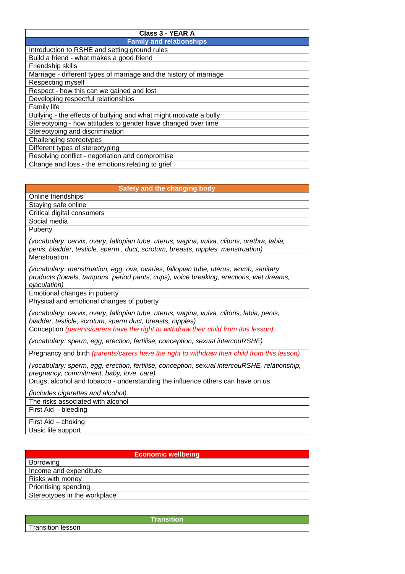| Class 3 - YEAR A                                                   |
|--------------------------------------------------------------------|
| <b>Family and relationships</b>                                    |
| Introduction to RSHE and setting ground rules                      |
| Build a friend - what makes a good friend                          |
| Friendship skills                                                  |
| Marriage - different types of marriage and the history of marriage |
| Respecting myself                                                  |
| Respect - how this can we gained and lost                          |
| Developing respectful relationships                                |
| Family life                                                        |
| Bullying - the effects of bullying and what might motivate a bully |
| Stereotyping - how attitudes to gender have changed over time      |
| Stereotyping and discrimination                                    |
| Challenging stereotypes                                            |
| Different types of stereotyping                                    |
| Resolving conflict - negotiation and compromise                    |
| Change and loss - the emotions relating to grief                   |

| Safety and the changing body                                                                                                                                                                   |
|------------------------------------------------------------------------------------------------------------------------------------------------------------------------------------------------|
| Online friendships                                                                                                                                                                             |
| Staying safe online                                                                                                                                                                            |
| Critical digital consumers                                                                                                                                                                     |
| Social media                                                                                                                                                                                   |
| Puberty                                                                                                                                                                                        |
| (vocabulary: cervix, ovary, fallopian tube, uterus, vagina, vulva, clitoris, urethra, labia,<br>penis, bladder, testicle, sperm, duct, scrotum, breasts, nipples, menstruation)                |
| Menstruation                                                                                                                                                                                   |
| (vocabulary: menstruation, egg, ova, ovaries, fallopian tube, uterus, womb, sanitary<br>products (towels, tampons, period pants, cups), voice breaking, erections, wet dreams,<br>ejaculation) |
| Emotional changes in puberty                                                                                                                                                                   |
| Physical and emotional changes of puberty                                                                                                                                                      |
| (vocabulary: cervix, ovary, fallopian tube, uterus, vagina, vulva, clitoris, labia, penis,<br>bladder, testicle, scrotum, sperm duct, breasts, nipples)                                        |
| Conception (parents/carers have the right to withdraw their child from this lesson)                                                                                                            |
| (vocabulary: sperm, egg, erection, fertilise, conception, sexual intercouRSHE)                                                                                                                 |
| Pregnancy and birth (parents/carers have the right to withdraw their child from this lesson)                                                                                                   |
| (vocabulary: sperm, egg, erection, fertilise, conception, sexual intercouRSHE, relationship,<br>pregnancy, commitment, baby, love, care)                                                       |
| Drugs, alcohol and tobacco - understanding the influence others can have on us                                                                                                                 |
| (includes cigarettes and alcohol)                                                                                                                                                              |
| The risks associated with alcohol                                                                                                                                                              |
| First Aid - bleeding                                                                                                                                                                           |
| First Aid - choking                                                                                                                                                                            |

Basic life support

| <b>Economic wellbeing</b>    |
|------------------------------|
| Borrowing                    |
| Income and expenditure       |
| Risks with money             |
| Prioritising spending        |
| Stereotypes in the workplace |

Transition lesson

**Transition**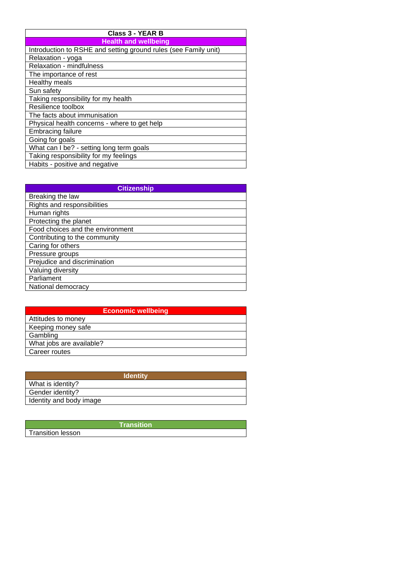## **Class 3 - YEAR B**

| <b>Health and wellbeing</b>                                     |
|-----------------------------------------------------------------|
| Introduction to RSHE and setting ground rules (see Family unit) |
| Relaxation - yoga                                               |
| Relaxation - mindfulness                                        |
| The importance of rest                                          |
| Healthy meals                                                   |
| Sun safety                                                      |
| Taking responsibility for my health                             |
| Resilience toolbox                                              |
| The facts about immunisation                                    |
| Physical health concerns - where to get help                    |
| <b>Embracing failure</b>                                        |
| Going for goals                                                 |
| What can I be? - setting long term goals                        |
| Taking responsibility for my feelings                           |
| Habits - positive and negative                                  |

| <b>Citizenship</b>               |
|----------------------------------|
| Breaking the law                 |
| Rights and responsibilities      |
| Human rights                     |
| Protecting the planet            |
| Food choices and the environment |
| Contributing to the community    |
| Caring for others                |
| Pressure groups                  |
| Prejudice and discrimination     |
| Valuing diversity                |
| Parliament                       |
| National democracy               |

| <b>Economic wellbeing</b> |
|---------------------------|
| Attitudes to money        |
| Keeping money safe        |
| Gambling                  |
| What jobs are available?  |
| Career routes             |

| <b>Identity</b>         |
|-------------------------|
| What is identity?       |
| Gender identity?        |
| Identity and body image |

**Transition** Transition lesson